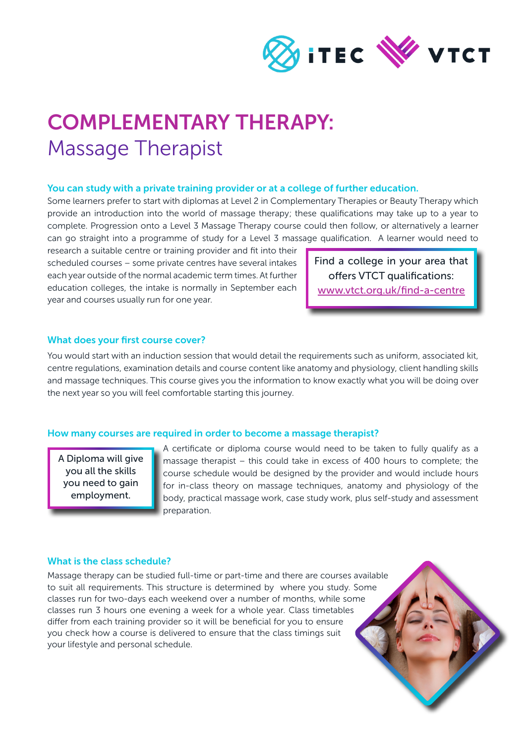

## COMPLEMENTARY THERAPY: Massage Therapist

#### You can study with a private training provider or at a college of further education.

Some learners prefer to start with diplomas at Level 2 in Complementary Therapies or Beauty Therapy which provide an introduction into the world of massage therapy; these qualifications may take up to a year to complete. Progression onto a Level 3 Massage Therapy course could then follow, or alternatively a learner can go straight into a programme of study for a Level 3 massage qualification. A learner would need to

research a suitable centre or training provider and fit into their scheduled courses – some private centres have several intakes each year outside of the normal academic term times. At further education colleges, the intake is normally in September each year and courses usually run for one year.

Find a college in your area that offers VTCT qualifications: [www.vtct.org.uk/find-a-centre](http://www.vtct.org.uk/find-a-centre)

### What does your first course cover?

You would start with an induction session that would detail the requirements such as uniform, associated kit, centre regulations, examination details and course content like anatomy and physiology, client handling skills and massage techniques. This course gives you the information to know exactly what you will be doing over the next year so you will feel comfortable starting this journey.

#### How many courses are required in order to become a massage therapist?

A Diploma will give you all the skills you need to gain employment.

A certificate or diploma course would need to be taken to fully qualify as a massage therapist – this could take in excess of 400 hours to complete; the course schedule would be designed by the provider and would include hours for in-class theory on massage techniques, anatomy and physiology of the body, practical massage work, case study work, plus self-study and assessment preparation.

### What is the class schedule?

Massage therapy can be studied full-time or part-time and there are courses available to suit all requirements. This structure is determined by where you study. Some classes run for two-days each weekend over a number of months, while some classes run 3 hours one evening a week for a whole year. Class timetables differ from each training provider so it will be beneficial for you to ensure you check how a course is delivered to ensure that the class timings suit your lifestyle and personal schedule.